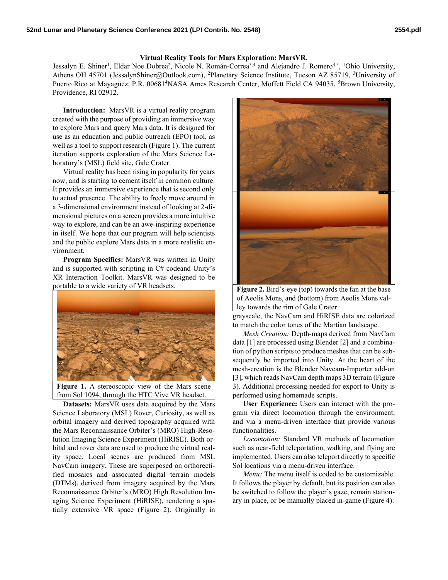## Virtual Reality Tools for Mars Exploration: MarsVR.

Jessalyn E. Shiner<sup>1</sup>, Eldar Noe Dobrea<sup>2</sup>, Nicole N. Román-Correa<sup>3,4</sup> and Alejandro J. Romero<sup>4,5</sup>, <sup>1</sup>Ohio University, Athens OH 45701 (JessalynShiner@Outlook.com), <sup>2</sup>Planetary Science Institute, Tucson AZ 85719, <sup>3</sup>University of Puerto Rico at Mayagüez, P.R. 00681<sup>4</sup>NASA Ames Research Center, Moffett Field CA 94035, <sup>5</sup>Brown University, Providence, RI 02912.

Introduction: MarsVR is a virtual reality program created with the purpose of providing an immersive way to explore Mars and query Mars data. It is designed for use as an education and public outreach (EPO) tool, as well as a tool to support research (Figure 1). The current iteration supports exploration of the Mars Science Laboratory's (MSL) field site, Gale Crater.

Virtual reality has been rising in popularity for years now, and is starting to cement itself in common culture. It provides an immersive experience that is second only to actual presence. The ability to freely move around in a 3-dimensional environment instead of looking at 2-dimensional pictures on a screen provides a more intuitive way to explore, and can be an awe-inspiring experience in itself. We hope that our program will help scientists and the public explore Mars data in a more realistic environment.

Program Specifics: MarsVR was written in Unity and is supported with scripting in C# codeand Unity's XR Interaction Toolkit. MarsVR was designed to be portable to a wide variety of VR headsets.



Figure 1. A stereoscopic view of the Mars scene from Sol 1094, through the HTC Vive VR headset.

Datasets: MarsVR uses data acquired by the Mars Science Laboratory (MSL) Rover, Curiosity, as well as orbital imagery and derived topography acquired with the Mars Reconnaissance Orbiter's (MRO) High-Resolution Imaging Science Experiment (HiRISE). Both orbital and rover data are used to produce the virtual reality space. Local scenes are produced from MSL NavCam imagery. These are superposed on orthorectified mosaics and associated digital terrain models (DTMs), derived from imagery acquired by the Mars Reconnaissance Orbiter's (MRO) High Resolution Imaging Science Experiment (HiRISE), rendering a spatially extensive VR space (Figure 2). Originally in



Figure 2. Bird's-eye (top) towards the fan at the base of Aeolis Mons, and (bottom) from Aeolis Mons valley towards the rim of Gale Crater

grayscale, the NavCam and HiRISE data are colorized to match the color tones of the Martian landscape.

Mesh Creation: Depth-maps derived from NavCam data [1] are processed using Blender [2] and a combination of python scripts to produce meshes that can be subsequently be imported into Unity. At the heart of the mesh-creation is the Blender Navcam-Importer add-on [3], which reads NavCam depth maps 3D terrain (Figure 3). Additional processing needed for export to Unity is performed using homemade scripts.

User Experience: Users can interact with the program via direct locomotion through the environment, and via a menu-driven interface that provide various functionalities.

Locomotion: Standard VR methods of locomotion such as near-field teleportation, walking, and flying are implemented. Users can also teleport directly to specific Sol locations via a menu-driven interface.

Menu: The menu itself is coded to be customizable. It follows the player by default, but its position can also be switched to follow the player's gaze, remain stationary in place, or be manually placed in-game (Figure 4).